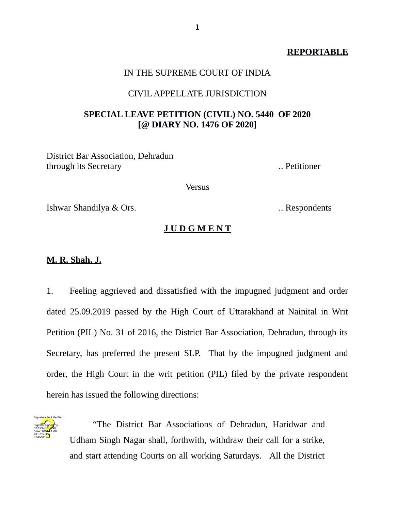# **REPORTABLE**

# IN THE SUPREME COURT OF INDIA

## CIVIL APPELLATE JURISDICTION

# **SPECIAL LEAVE PETITION (CIVIL) NO. 5440 OF 2020 [@ DIARY NO. 1476 OF 2020]**

District Bar Association, Dehradun through its Secretary **...** Petitioner

Versus

Ishwar Shandilya & Ors. .. Respondents

#### **J U D G M E N T**

## **M. R. Shah, J.**

1. Feeling aggrieved and dissatisfied with the impugned judgment and order dated 25.09.2019 passed by the High Court of Uttarakhand at Nainital in Writ Petition (PIL) No. 31 of 2016, the District Bar Association, Dehradun, through its Secretary, has preferred the present SLP. That by the impugned judgment and order, the High Court in the writ petition (PIL) filed by the private respondent herein has issued the following directions:



"The District Bar Associations of Dehradun, Haridwar and Udham Singh Nagar shall, forthwith, withdraw their call for a strike, and start attending Courts on all working Saturdays. All the District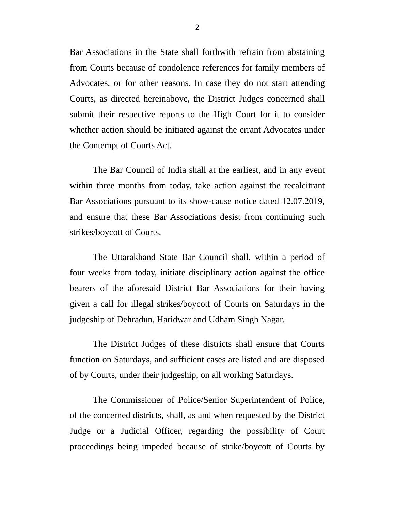Bar Associations in the State shall forthwith refrain from abstaining from Courts because of condolence references for family members of Advocates, or for other reasons. In case they do not start attending Courts, as directed hereinabove, the District Judges concerned shall submit their respective reports to the High Court for it to consider whether action should be initiated against the errant Advocates under the [Contempt of Courts Act.](https://indiankanoon.org/doc/1396751/)

The Bar Council of India shall at the earliest, and in any event within three months from today, take action against the recalcitrant Bar Associations pursuant to its show-cause notice dated 12.07.2019, and ensure that these Bar Associations desist from continuing such strikes/boycott of Courts.

The Uttarakhand State Bar Council shall, within a period of four weeks from today, initiate disciplinary action against the office bearers of the aforesaid District Bar Associations for their having given a call for illegal strikes/boycott of Courts on Saturdays in the judgeship of Dehradun, Haridwar and Udham Singh Nagar.

The District Judges of these districts shall ensure that Courts function on Saturdays, and sufficient cases are listed and are disposed of by Courts, under their judgeship, on all working Saturdays.

The Commissioner of Police/Senior Superintendent of Police, of the concerned districts, shall, as and when requested by the District Judge or a Judicial Officer, regarding the possibility of Court proceedings being impeded because of strike/boycott of Courts by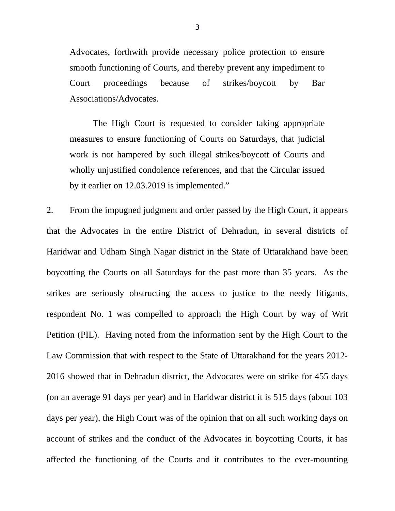Advocates, forthwith provide necessary police protection to ensure smooth functioning of Courts, and thereby prevent any impediment to Court proceedings because of strikes/boycott by Bar Associations/Advocates.

The High Court is requested to consider taking appropriate measures to ensure functioning of Courts on Saturdays, that judicial work is not hampered by such illegal strikes/boycott of Courts and wholly unjustified condolence references, and that the Circular issued by it earlier on 12.03.2019 is implemented."

2. From the impugned judgment and order passed by the High Court, it appears that the Advocates in the entire District of Dehradun, in several districts of Haridwar and Udham Singh Nagar district in the State of Uttarakhand have been boycotting the Courts on all Saturdays for the past more than 35 years. As the strikes are seriously obstructing the access to justice to the needy litigants, respondent No. 1 was compelled to approach the High Court by way of Writ Petition (PIL). Having noted from the information sent by the High Court to the Law Commission that with respect to the State of Uttarakhand for the years 2012- 2016 showed that in Dehradun district, the Advocates were on strike for 455 days (on an average 91 days per year) and in Haridwar district it is 515 days (about 103 days per year), the High Court was of the opinion that on all such working days on account of strikes and the conduct of the Advocates in boycotting Courts, it has affected the functioning of the Courts and it contributes to the ever-mounting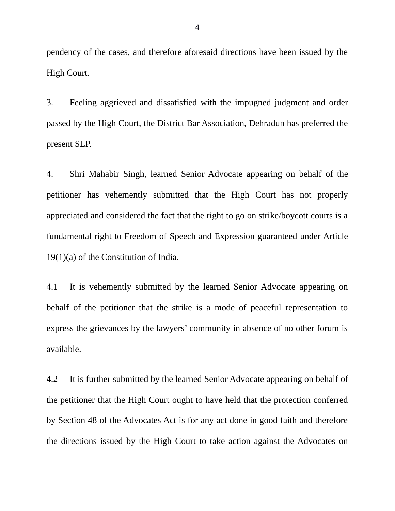pendency of the cases, and therefore aforesaid directions have been issued by the High Court.

3. Feeling aggrieved and dissatisfied with the impugned judgment and order passed by the High Court, the District Bar Association, Dehradun has preferred the present SLP.

4. Shri Mahabir Singh, learned Senior Advocate appearing on behalf of the petitioner has vehemently submitted that the High Court has not properly appreciated and considered the fact that the right to go on strike/boycott courts is a fundamental right to Freedom of Speech and Expression guaranteed under Article 19(1)(a) of the Constitution of India.

4.1 It is vehemently submitted by the learned Senior Advocate appearing on behalf of the petitioner that the strike is a mode of peaceful representation to express the grievances by the lawyers' community in absence of no other forum is available.

4.2 It is further submitted by the learned Senior Advocate appearing on behalf of the petitioner that the High Court ought to have held that the protection conferred by Section 48 of the Advocates Act is for any act done in good faith and therefore the directions issued by the High Court to take action against the Advocates on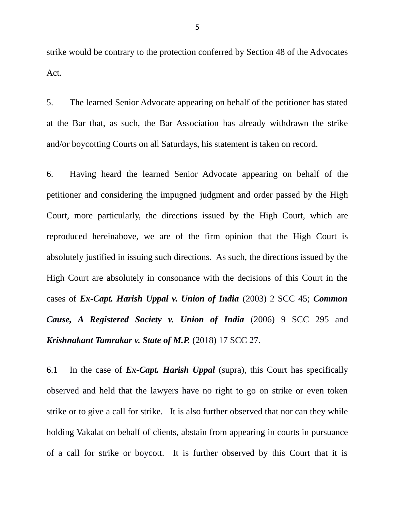strike would be contrary to the protection conferred by Section 48 of the Advocates Act.

5. The learned Senior Advocate appearing on behalf of the petitioner has stated at the Bar that, as such, the Bar Association has already withdrawn the strike and/or boycotting Courts on all Saturdays, his statement is taken on record.

6. Having heard the learned Senior Advocate appearing on behalf of the petitioner and considering the impugned judgment and order passed by the High Court, more particularly, the directions issued by the High Court, which are reproduced hereinabove, we are of the firm opinion that the High Court is absolutely justified in issuing such directions. As such, the directions issued by the High Court are absolutely in consonance with the decisions of this Court in the cases of *Ex-Capt. Harish Uppal v. Union of India* (2003) 2 SCC 45; *Common Cause, A Registered Society v. Union of India* (2006) 9 SCC 295 and *Krishnakant Tamrakar v. State of M.P.* (2018) 17 SCC 27.

6.1 In the case of *Ex-Capt. Harish Uppal* (supra), this Court has specifically observed and held that the lawyers have no right to go on strike or even token strike or to give a call for strike. It is also further observed that nor can they while holding Vakalat on behalf of clients, abstain from appearing in courts in pursuance of a call for strike or boycott. It is further observed by this Court that it is

5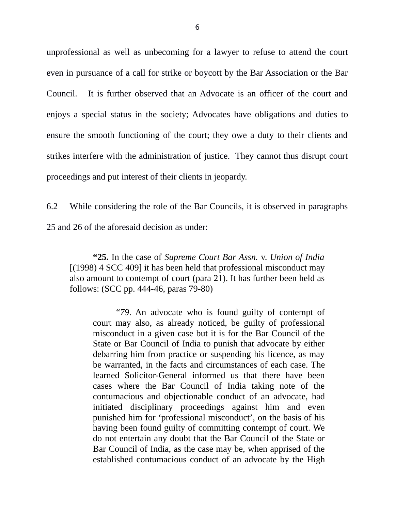unprofessional as well as unbecoming for a lawyer to refuse to attend the court even in pursuance of a call for strike or boycott by the Bar Association or the Bar Council. It is further observed that an Advocate is an officer of the court and enjoys a special status in the society; Advocates have obligations and duties to ensure the smooth functioning of the court; they owe a duty to their clients and strikes interfere with the administration of justice. They cannot thus disrupt court proceedings and put interest of their clients in jeopardy.

6.2 While considering the role of the Bar Councils, it is observed in paragraphs 25 and 26 of the aforesaid decision as under:

**"25.** In the case of *Supreme Court Bar Assn.* v. *Union of India* [(1998) 4 SCC 409] it has been held that professional misconduct may also amount to contempt of court (para 21). It has further been held as follows: (SCC pp. 444-46, paras 79-80)

"*79*. An advocate who is found guilty of contempt of court may also, as already noticed, be guilty of professional misconduct in a given case but it is for the Bar Council of the State or Bar Council of India to punish that advocate by either debarring him from practice or suspending his licence, as may be warranted, in the facts and circumstances of each case. The learned Solicitor-General informed us that there have been cases where the Bar Council of India taking note of the contumacious and objectionable conduct of an advocate, had initiated disciplinary proceedings against him and even punished him for 'professional misconduct', on the basis of his having been found guilty of committing contempt of court. We do not entertain any doubt that the Bar Council of the State or Bar Council of India, as the case may be, when apprised of the established contumacious conduct of an advocate by the High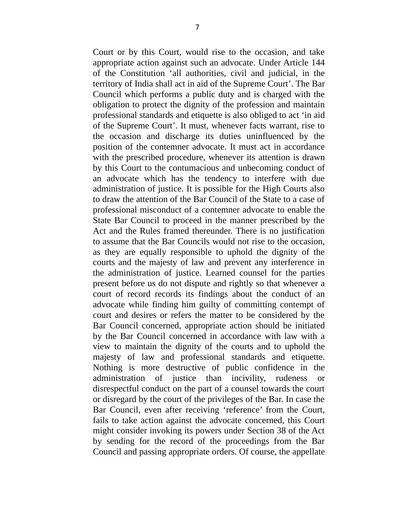Court or by this Court, would rise to the occasion, and take appropriate action against such an advocate. Under Article 144 of the Constitution 'all authorities, civil and judicial, in the territory of India shall act in aid of the Supreme Court'. The Bar Council which performs a public duty and is charged with the obligation to protect the dignity of the profession and maintain professional standards and etiquette is also obliged to act 'in aid of the Supreme Court'. It must, whenever facts warrant, rise to the occasion and discharge its duties uninfluenced by the position of the contemner advocate. It must act in accordance with the prescribed procedure, whenever its attention is drawn by this Court to the contumacious and unbecoming conduct of an advocate which has the tendency to interfere with due administration of justice. It is possible for the High Courts also to draw the attention of the Bar Council of the State to a case of professional misconduct of a contemner advocate to enable the State Bar Council to proceed in the manner prescribed by the Act and the Rules framed thereunder. There is no justification to assume that the Bar Councils would not rise to the occasion, as they are equally responsible to uphold the dignity of the courts and the majesty of law and prevent any interference in the administration of justice. Learned counsel for the parties present before us do not dispute and rightly so that whenever a court of record records its findings about the conduct of an advocate while finding him guilty of committing contempt of court and desires or refers the matter to be considered by the Bar Council concerned, appropriate action should be initiated by the Bar Council concerned in accordance with law with a view to maintain the dignity of the courts and to uphold the majesty of law and professional standards and etiquette. Nothing is more destructive of public confidence in the administration of justice than incivility, rudeness or disrespectful conduct on the part of a counsel towards the court or disregard by the court of the privileges of the Bar. In case the Bar Council, even after receiving 'reference' from the Court, fails to take action against the advocate concerned, this Court might consider invoking its powers under Section 38 of the Act by sending for the record of the proceedings from the Bar Council and passing appropriate orders. Of course, the appellate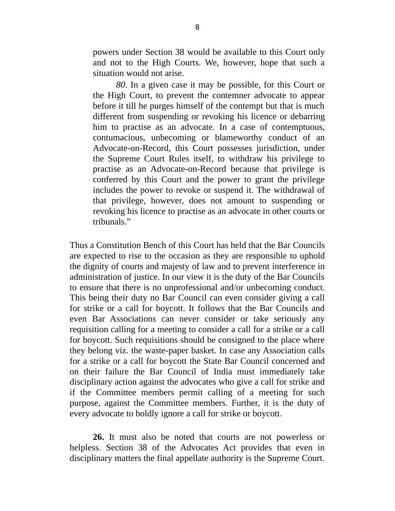powers under Section 38 would be available to this Court only and not to the High Courts. We, however, hope that such a situation would not arise.

*80*. In a given case it may be possible, for this Court or the High Court, to prevent the contemner advocate to appear before it till he purges himself of the contempt but that is much different from suspending or revoking his licence or debarring him to practise as an advocate. In a case of contemptuous, contumacious, unbecoming or blameworthy conduct of an Advocate-on-Record, this Court possesses jurisdiction, under the Supreme Court Rules itself, to withdraw his privilege to practise as an Advocate-on-Record because that privilege is conferred by this Court and the power to grant the privilege includes the power to revoke or suspend it. The withdrawal of that privilege, however, does not amount to suspending or revoking his licence to practise as an advocate in other courts or tribunals."

Thus a Constitution Bench of this Court has held that the Bar Councils are expected to rise to the occasion as they are responsible to uphold the dignity of courts and majesty of law and to prevent interference in administration of justice. In our view it is the duty of the Bar Councils to ensure that there is no unprofessional and/or unbecoming conduct. This being their duty no Bar Council can even consider giving a call for strike or a call for boycott. It follows that the Bar Councils and even Bar Associations can never consider or take seriously any requisition calling for a meeting to consider a call for a strike or a call for boycott. Such requisitions should be consigned to the place where they belong viz. the waste-paper basket. In case any Association calls for a strike or a call for boycott the State Bar Council concerned and on their failure the Bar Council of India must immediately take disciplinary action against the advocates who give a call for strike and if the Committee members permit calling of a meeting for such purpose, against the Committee members. Further, it is the duty of every advocate to boldly ignore a call for strike or boycott.

**26.** It must also be noted that courts are not powerless or helpless. Section 38 of the Advocates Act provides that even in disciplinary matters the final appellate authority is the Supreme Court.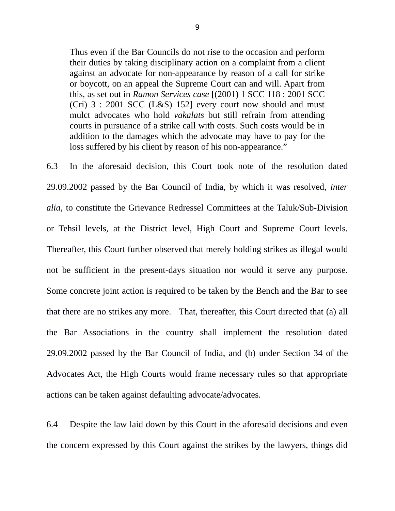Thus even if the Bar Councils do not rise to the occasion and perform their duties by taking disciplinary action on a complaint from a client against an advocate for non-appearance by reason of a call for strike or boycott, on an appeal the Supreme Court can and will. Apart from this, as set out in *Ramon Services case* [(2001) 1 SCC 118 : 2001 SCC (Cri) 3 : 2001 SCC (L&S) 152] every court now should and must mulct advocates who hold *vakalats* but still refrain from attending courts in pursuance of a strike call with costs. Such costs would be in addition to the damages which the advocate may have to pay for the loss suffered by his client by reason of his non-appearance."

6.3 In the aforesaid decision, this Court took note of the resolution dated 29.09.2002 passed by the Bar Council of India, by which it was resolved, *inter alia*, to constitute the Grievance Redressel Committees at the Taluk/Sub-Division or Tehsil levels, at the District level, High Court and Supreme Court levels. Thereafter, this Court further observed that merely holding strikes as illegal would not be sufficient in the present-days situation nor would it serve any purpose. Some concrete joint action is required to be taken by the Bench and the Bar to see that there are no strikes any more. That, thereafter, this Court directed that (a) all the Bar Associations in the country shall implement the resolution dated 29.09.2002 passed by the Bar Council of India, and (b) under Section 34 of the Advocates Act, the High Courts would frame necessary rules so that appropriate actions can be taken against defaulting advocate/advocates.

6.4 Despite the law laid down by this Court in the aforesaid decisions and even the concern expressed by this Court against the strikes by the lawyers, things did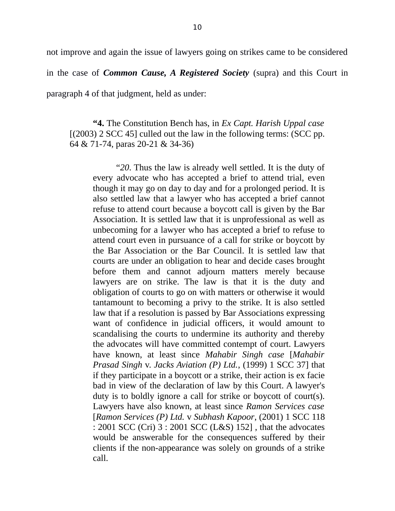not improve and again the issue of lawyers going on strikes came to be considered in the case of *Common Cause, A Registered Society* (supra) and this Court in paragraph 4 of that judgment, held as under:

**"4.** The Constitution Bench has, in *Ex Capt. Harish Uppal case* [(2003) 2 SCC 45] culled out the law in the following terms: (SCC pp. 64 & 71-74, paras 20-21 & 34-36)

"*20*. Thus the law is already well settled. It is the duty of every advocate who has accepted a brief to attend trial, even though it may go on day to day and for a prolonged period. It is also settled law that a lawyer who has accepted a brief cannot refuse to attend court because a boycott call is given by the Bar Association. It is settled law that it is unprofessional as well as unbecoming for a lawyer who has accepted a brief to refuse to attend court even in pursuance of a call for strike or boycott by the Bar Association or the Bar Council. It is settled law that courts are under an obligation to hear and decide cases brought before them and cannot adjourn matters merely because lawyers are on strike. The law is that it is the duty and obligation of courts to go on with matters or otherwise it would tantamount to becoming a privy to the strike. It is also settled law that if a resolution is passed by Bar Associations expressing want of confidence in judicial officers, it would amount to scandalising the courts to undermine its authority and thereby the advocates will have committed contempt of court. Lawyers have known, at least since *Mahabir Singh case* [*Mahabir Prasad Singh* v. *Jacks Aviation (P) Ltd.*, (1999) 1 SCC 37] that if they participate in a boycott or a strike, their action is ex facie bad in view of the declaration of law by this Court. A lawyer's duty is to boldly ignore a call for strike or boycott of court(s). Lawyers have also known, at least since *Ramon Services case* [*Ramon Services (P) Ltd.* v *Subhash Kapoor*, (2001) 1 SCC 118 : 2001 SCC (Cri) 3 : 2001 SCC (L&S) 152] , that the advocates would be answerable for the consequences suffered by their clients if the non-appearance was solely on grounds of a strike call.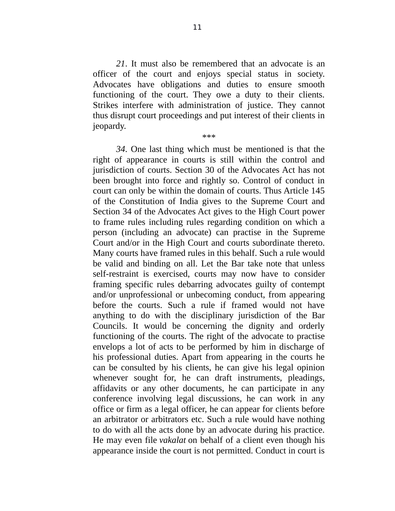*21*. It must also be remembered that an advocate is an officer of the court and enjoys special status in society. Advocates have obligations and duties to ensure smooth functioning of the court. They owe a duty to their clients. Strikes interfere with administration of justice. They cannot thus disrupt court proceedings and put interest of their clients in jeopardy.

\*\*\*

*34*. One last thing which must be mentioned is that the right of appearance in courts is still within the control and jurisdiction of courts. Section 30 of the Advocates Act has not been brought into force and rightly so. Control of conduct in court can only be within the domain of courts. Thus Article 145 of the Constitution of India gives to the Supreme Court and Section 34 of the Advocates Act gives to the High Court power to frame rules including rules regarding condition on which a person (including an advocate) can practise in the Supreme Court and/or in the High Court and courts subordinate thereto. Many courts have framed rules in this behalf. Such a rule would be valid and binding on all. Let the Bar take note that unless self-restraint is exercised, courts may now have to consider framing specific rules debarring advocates guilty of contempt and/or unprofessional or unbecoming conduct, from appearing before the courts. Such a rule if framed would not have anything to do with the disciplinary jurisdiction of the Bar Councils. It would be concerning the dignity and orderly functioning of the courts. The right of the advocate to practise envelops a lot of acts to be performed by him in discharge of his professional duties. Apart from appearing in the courts he can be consulted by his clients, he can give his legal opinion whenever sought for, he can draft instruments, pleadings, affidavits or any other documents, he can participate in any conference involving legal discussions, he can work in any office or firm as a legal officer, he can appear for clients before an arbitrator or arbitrators etc. Such a rule would have nothing to do with all the acts done by an advocate during his practice. He may even file *vakalat* on behalf of a client even though his appearance inside the court is not permitted. Conduct in court is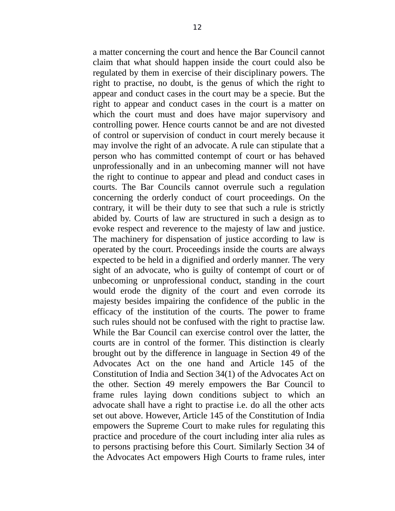a matter concerning the court and hence the Bar Council cannot claim that what should happen inside the court could also be regulated by them in exercise of their disciplinary powers. The right to practise, no doubt, is the genus of which the right to appear and conduct cases in the court may be a specie. But the right to appear and conduct cases in the court is a matter on which the court must and does have major supervisory and controlling power. Hence courts cannot be and are not divested of control or supervision of conduct in court merely because it may involve the right of an advocate. A rule can stipulate that a person who has committed contempt of court or has behaved unprofessionally and in an unbecoming manner will not have the right to continue to appear and plead and conduct cases in courts. The Bar Councils cannot overrule such a regulation concerning the orderly conduct of court proceedings. On the contrary, it will be their duty to see that such a rule is strictly abided by. Courts of law are structured in such a design as to evoke respect and reverence to the majesty of law and justice. The machinery for dispensation of justice according to law is operated by the court. Proceedings inside the courts are always expected to be held in a dignified and orderly manner. The very sight of an advocate, who is guilty of contempt of court or of unbecoming or unprofessional conduct, standing in the court would erode the dignity of the court and even corrode its majesty besides impairing the confidence of the public in the efficacy of the institution of the courts. The power to frame such rules should not be confused with the right to practise law. While the Bar Council can exercise control over the latter, the courts are in control of the former. This distinction is clearly brought out by the difference in language in Section 49 of the Advocates Act on the one hand and Article 145 of the Constitution of India and Section 34(1) of the Advocates Act on the other. Section 49 merely empowers the Bar Council to frame rules laying down conditions subject to which an advocate shall have a right to practise i.e. do all the other acts set out above. However, Article 145 of the Constitution of India empowers the Supreme Court to make rules for regulating this practice and procedure of the court including inter alia rules as to persons practising before this Court. Similarly Section 34 of the Advocates Act empowers High Courts to frame rules, inter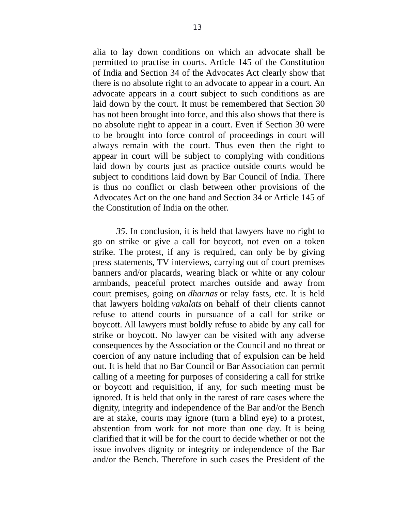alia to lay down conditions on which an advocate shall be permitted to practise in courts. Article 145 of the Constitution of India and Section 34 of the Advocates Act clearly show that there is no absolute right to an advocate to appear in a court. An advocate appears in a court subject to such conditions as are laid down by the court. It must be remembered that Section 30 has not been brought into force, and this also shows that there is no absolute right to appear in a court. Even if Section 30 were to be brought into force control of proceedings in court will always remain with the court. Thus even then the right to appear in court will be subject to complying with conditions laid down by courts just as practice outside courts would be subject to conditions laid down by Bar Council of India. There is thus no conflict or clash between other provisions of the Advocates Act on the one hand and Section 34 or Article 145 of the Constitution of India on the other.

*35*. In conclusion, it is held that lawyers have no right to go on strike or give a call for boycott, not even on a token strike. The protest, if any is required, can only be by giving press statements, TV interviews, carrying out of court premises banners and/or placards, wearing black or white or any colour armbands, peaceful protect marches outside and away from court premises, going on *dharnas* or relay fasts, etc. It is held that lawyers holding *vakalats* on behalf of their clients cannot refuse to attend courts in pursuance of a call for strike or boycott. All lawyers must boldly refuse to abide by any call for strike or boycott. No lawyer can be visited with any adverse consequences by the Association or the Council and no threat or coercion of any nature including that of expulsion can be held out. It is held that no Bar Council or Bar Association can permit calling of a meeting for purposes of considering a call for strike or boycott and requisition, if any, for such meeting must be ignored. It is held that only in the rarest of rare cases where the dignity, integrity and independence of the Bar and/or the Bench are at stake, courts may ignore (turn a blind eye) to a protest, abstention from work for not more than one day. It is being clarified that it will be for the court to decide whether or not the issue involves dignity or integrity or independence of the Bar and/or the Bench. Therefore in such cases the President of the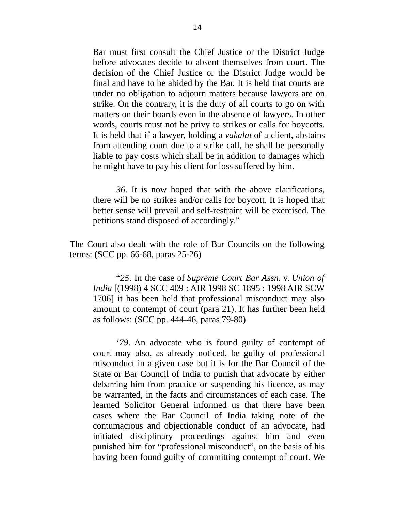Bar must first consult the Chief Justice or the District Judge before advocates decide to absent themselves from court. The decision of the Chief Justice or the District Judge would be final and have to be abided by the Bar. It is held that courts are under no obligation to adjourn matters because lawyers are on strike. On the contrary, it is the duty of all courts to go on with matters on their boards even in the absence of lawyers. In other words, courts must not be privy to strikes or calls for boycotts. It is held that if a lawyer, holding a *vakalat* of a client, abstains from attending court due to a strike call, he shall be personally liable to pay costs which shall be in addition to damages which he might have to pay his client for loss suffered by him.

*36*. It is now hoped that with the above clarifications, there will be no strikes and/or calls for boycott. It is hoped that better sense will prevail and self-restraint will be exercised. The petitions stand disposed of accordingly."

The Court also dealt with the role of Bar Councils on the following terms: (SCC pp. 66-68, paras 25-26)

"*25*. In the case of *Supreme Court Bar Assn.* v. *Union of India* [(1998) 4 SCC 409 : AIR 1998 SC 1895 : 1998 AIR SCW 1706] it has been held that professional misconduct may also amount to contempt of court (para 21). It has further been held as follows: (SCC pp. 444-46, paras 79-80)

'*79*. An advocate who is found guilty of contempt of court may also, as already noticed, be guilty of professional misconduct in a given case but it is for the Bar Council of the State or Bar Council of India to punish that advocate by either debarring him from practice or suspending his licence, as may be warranted, in the facts and circumstances of each case. The learned Solicitor General informed us that there have been cases where the Bar Council of India taking note of the contumacious and objectionable conduct of an advocate, had initiated disciplinary proceedings against him and even punished him for "professional misconduct", on the basis of his having been found guilty of committing contempt of court. We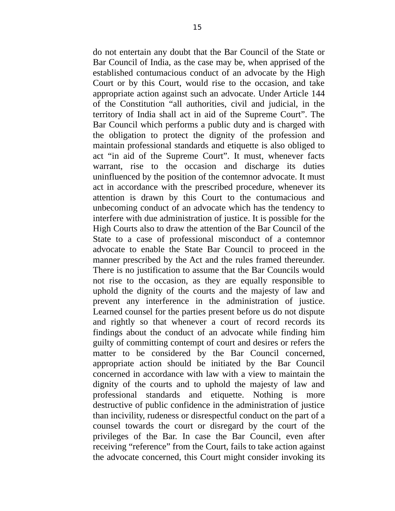do not entertain any doubt that the Bar Council of the State or Bar Council of India, as the case may be, when apprised of the established contumacious conduct of an advocate by the High Court or by this Court, would rise to the occasion, and take appropriate action against such an advocate. Under Article 144 of the Constitution "all authorities, civil and judicial, in the territory of India shall act in aid of the Supreme Court". The Bar Council which performs a public duty and is charged with the obligation to protect the dignity of the profession and maintain professional standards and etiquette is also obliged to act "in aid of the Supreme Court". It must, whenever facts warrant, rise to the occasion and discharge its duties uninfluenced by the position of the contemnor advocate. It must act in accordance with the prescribed procedure, whenever its attention is drawn by this Court to the contumacious and unbecoming conduct of an advocate which has the tendency to interfere with due administration of justice. It is possible for the High Courts also to draw the attention of the Bar Council of the State to a case of professional misconduct of a contemnor advocate to enable the State Bar Council to proceed in the manner prescribed by the Act and the rules framed thereunder. There is no justification to assume that the Bar Councils would not rise to the occasion, as they are equally responsible to uphold the dignity of the courts and the majesty of law and prevent any interference in the administration of justice. Learned counsel for the parties present before us do not dispute and rightly so that whenever a court of record records its findings about the conduct of an advocate while finding him guilty of committing contempt of court and desires or refers the matter to be considered by the Bar Council concerned, appropriate action should be initiated by the Bar Council concerned in accordance with law with a view to maintain the dignity of the courts and to uphold the majesty of law and professional standards and etiquette. Nothing is more destructive of public confidence in the administration of justice than incivility, rudeness or disrespectful conduct on the part of a counsel towards the court or disregard by the court of the privileges of the Bar. In case the Bar Council, even after receiving "reference" from the Court, fails to take action against the advocate concerned, this Court might consider invoking its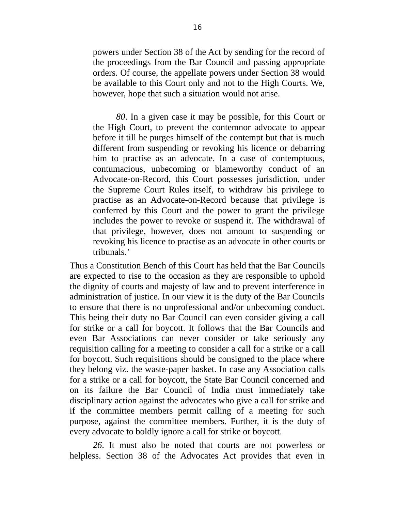powers under Section 38 of the Act by sending for the record of the proceedings from the Bar Council and passing appropriate orders. Of course, the appellate powers under Section 38 would be available to this Court only and not to the High Courts. We, however, hope that such a situation would not arise.

*80*. In a given case it may be possible, for this Court or the High Court, to prevent the contemnor advocate to appear before it till he purges himself of the contempt but that is much different from suspending or revoking his licence or debarring him to practise as an advocate. In a case of contemptuous, contumacious, unbecoming or blameworthy conduct of an Advocate-on-Record, this Court possesses jurisdiction, under the Supreme Court Rules itself, to withdraw his privilege to practise as an Advocate-on-Record because that privilege is conferred by this Court and the power to grant the privilege includes the power to revoke or suspend it. The withdrawal of that privilege, however, does not amount to suspending or revoking his licence to practise as an advocate in other courts or tribunals.'

Thus a Constitution Bench of this Court has held that the Bar Councils are expected to rise to the occasion as they are responsible to uphold the dignity of courts and majesty of law and to prevent interference in administration of justice. In our view it is the duty of the Bar Councils to ensure that there is no unprofessional and/or unbecoming conduct. This being their duty no Bar Council can even consider giving a call for strike or a call for boycott. It follows that the Bar Councils and even Bar Associations can never consider or take seriously any requisition calling for a meeting to consider a call for a strike or a call for boycott. Such requisitions should be consigned to the place where they belong viz. the waste-paper basket. In case any Association calls for a strike or a call for boycott, the State Bar Council concerned and on its failure the Bar Council of India must immediately take disciplinary action against the advocates who give a call for strike and if the committee members permit calling of a meeting for such purpose, against the committee members. Further, it is the duty of every advocate to boldly ignore a call for strike or boycott.

*26*. It must also be noted that courts are not powerless or helpless. Section 38 of the Advocates Act provides that even in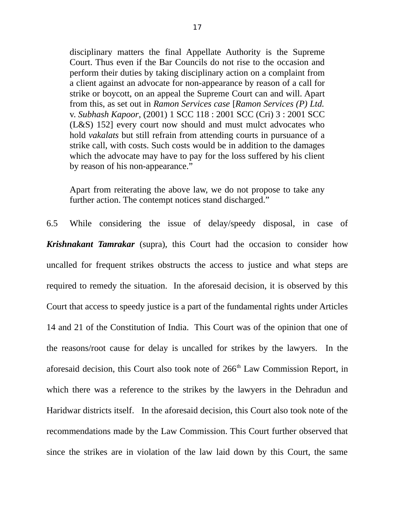disciplinary matters the final Appellate Authority is the Supreme Court. Thus even if the Bar Councils do not rise to the occasion and perform their duties by taking disciplinary action on a complaint from a client against an advocate for non-appearance by reason of a call for strike or boycott, on an appeal the Supreme Court can and will. Apart from this, as set out in *Ramon Services case* [*Ramon Services (P) Ltd.* v. *Subhash Kapoor*, (2001) 1 SCC 118 : 2001 SCC (Cri) 3 : 2001 SCC (L&S) 152] every court now should and must mulct advocates who hold *vakalats* but still refrain from attending courts in pursuance of a strike call, with costs. Such costs would be in addition to the damages which the advocate may have to pay for the loss suffered by his client by reason of his non-appearance."

Apart from reiterating the above law, we do not propose to take any further action. The contempt notices stand discharged."

6.5 While considering the issue of delay/speedy disposal, in case of *Krishnakant Tamrakar* (supra), this Court had the occasion to consider how uncalled for frequent strikes obstructs the access to justice and what steps are required to remedy the situation. In the aforesaid decision, it is observed by this Court that access to speedy justice is a part of the fundamental rights under Articles 14 and 21 of the Constitution of India. This Court was of the opinion that one of the reasons/root cause for delay is uncalled for strikes by the lawyers. In the aforesaid decision, this Court also took note of 266<sup>th</sup> Law Commission Report, in which there was a reference to the strikes by the lawyers in the Dehradun and Haridwar districts itself. In the aforesaid decision, this Court also took note of the recommendations made by the Law Commission. This Court further observed that since the strikes are in violation of the law laid down by this Court, the same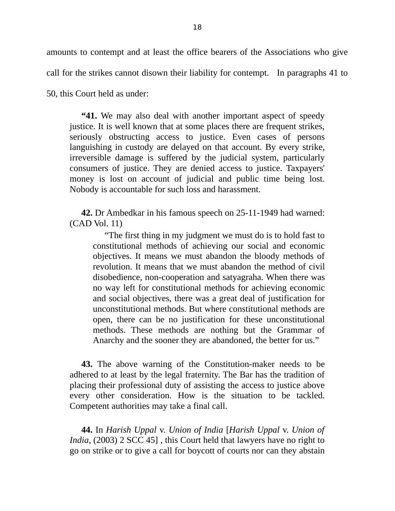amounts to contempt and at least the office bearers of the Associations who give call for the strikes cannot disown their liability for contempt. In paragraphs 41 to

50, this Court held as under:

**"41.** We may also deal with another important aspect of speedy justice. It is well known that at some places there are frequent strikes, seriously obstructing access to justice. Even cases of persons languishing in custody are delayed on that account. By every strike, irreversible damage is suffered by the judicial system, particularly consumers of justice. They are denied access to justice. Taxpayers' money is lost on account of judicial and public time being lost. Nobody is accountable for such loss and harassment.

**42.** Dr Ambedkar in his famous speech on 25-11-1949 had warned: (CAD Vol. 11)

"The first thing in my judgment we must do is to hold fast to constitutional methods of achieving our social and economic objectives. It means we must abandon the bloody methods of revolution. It means that we must abandon the method of civil disobedience, non-cooperation and satyagraha. When there was no way left for constitutional methods for achieving economic and social objectives, there was a great deal of justification for unconstitutional methods. But where constitutional methods are open, there can be no justification for these unconstitutional methods. These methods are nothing but the Grammar of Anarchy and the sooner they are abandoned, the better for us."

**43.** The above warning of the Constitution-maker needs to be adhered to at least by the legal fraternity. The Bar has the tradition of placing their professional duty of assisting the access to justice above every other consideration. How is the situation to be tackled. Competent authorities may take a final call.

**44.** In *Harish Uppal* v. *Union of India* [*Harish Uppal* v. *Union of India*, (2003) 2 SCC 45] , this Court held that lawyers have no right to go on strike or to give a call for boycott of courts nor can they abstain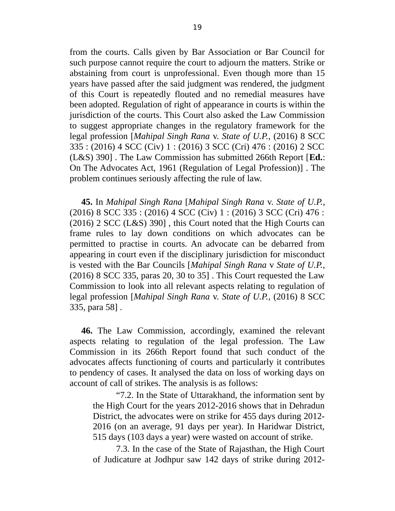from the courts. Calls given by Bar Association or Bar Council for such purpose cannot require the court to adjourn the matters. Strike or abstaining from court is unprofessional. Even though more than 15 years have passed after the said judgment was rendered, the judgment of this Court is repeatedly flouted and no remedial measures have been adopted. Regulation of right of appearance in courts is within the jurisdiction of the courts. This Court also asked the Law Commission to suggest appropriate changes in the regulatory framework for the legal profession [*Mahipal Singh Rana* v. *State of U.P.*, (2016) 8 SCC 335 : (2016) 4 SCC (Civ) 1 : (2016) 3 SCC (Cri) 476 : (2016) 2 SCC (L&S) 390] . The Law Commission has submitted 266th Report [**Ed.**: On The Advocates Act, 1961 (Regulation of Legal Profession)] . The problem continues seriously affecting the rule of law.

**45.** In *Mahipal Singh Rana* [*Mahipal Singh Rana* v. *State of U.P.*, (2016) 8 SCC 335 : (2016) 4 SCC (Civ) 1 : (2016) 3 SCC (Cri) 476 : (2016) 2 SCC (L&S) 390] , this Court noted that the High Courts can frame rules to lay down conditions on which advocates can be permitted to practise in courts. An advocate can be debarred from appearing in court even if the disciplinary jurisdiction for misconduct is vested with the Bar Councils [*Mahipal Singh Rana* v *State of U.P.*, (2016) 8 SCC 335, paras 20, 30 to 35] . This Court requested the Law Commission to look into all relevant aspects relating to regulation of legal profession [*Mahipal Singh Rana* v. *State of U.P.*, (2016) 8 SCC 335, para 58] .

**46.** The Law Commission, accordingly, examined the relevant aspects relating to regulation of the legal profession. The Law Commission in its 266th Report found that such conduct of the advocates affects functioning of courts and particularly it contributes to pendency of cases. It analysed the data on loss of working days on account of call of strikes. The analysis is as follows:

"7.2. In the State of Uttarakhand, the information sent by the High Court for the years 2012-2016 shows that in Dehradun District, the advocates were on strike for 455 days during 2012- 2016 (on an average, 91 days per year). In Haridwar District, 515 days (103 days a year) were wasted on account of strike.

7.3. In the case of the State of Rajasthan, the High Court of Judicature at Jodhpur saw 142 days of strike during 2012-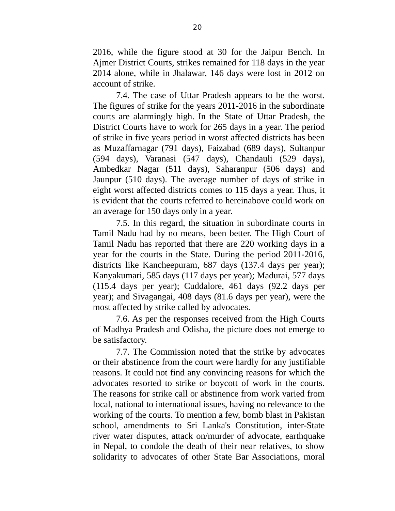2016, while the figure stood at 30 for the Jaipur Bench. In Ajmer District Courts, strikes remained for 118 days in the year 2014 alone, while in Jhalawar, 146 days were lost in 2012 on account of strike.

7.4. The case of Uttar Pradesh appears to be the worst. The figures of strike for the years 2011-2016 in the subordinate courts are alarmingly high. In the State of Uttar Pradesh, the District Courts have to work for 265 days in a year. The period of strike in five years period in worst affected districts has been as Muzaffarnagar (791 days), Faizabad (689 days), Sultanpur (594 days), Varanasi (547 days), Chandauli (529 days), Ambedkar Nagar (511 days), Saharanpur (506 days) and Jaunpur (510 days). The average number of days of strike in eight worst affected districts comes to 115 days a year. Thus, it is evident that the courts referred to hereinabove could work on an average for 150 days only in a year.

7.5. In this regard, the situation in subordinate courts in Tamil Nadu had by no means, been better. The High Court of Tamil Nadu has reported that there are 220 working days in a year for the courts in the State. During the period 2011-2016, districts like Kancheepuram, 687 days (137.4 days per year); Kanyakumari, 585 days (117 days per year); Madurai, 577 days (115.4 days per year); Cuddalore, 461 days (92.2 days per year); and Sivagangai, 408 days (81.6 days per year), were the most affected by strike called by advocates.

7.6. As per the responses received from the High Courts of Madhya Pradesh and Odisha, the picture does not emerge to be satisfactory.

7.7. The Commission noted that the strike by advocates or their abstinence from the court were hardly for any justifiable reasons. It could not find any convincing reasons for which the advocates resorted to strike or boycott of work in the courts. The reasons for strike call or abstinence from work varied from local, national to international issues, having no relevance to the working of the courts. To mention a few, bomb blast in Pakistan school, amendments to Sri Lanka's Constitution, inter-State river water disputes, attack on/murder of advocate, earthquake in Nepal, to condole the death of their near relatives, to show solidarity to advocates of other State Bar Associations, moral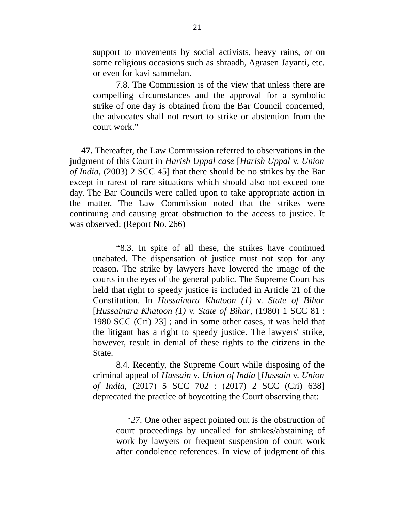support to movements by social activists, heavy rains, or on some religious occasions such as shraadh, Agrasen Jayanti, etc. or even for kavi sammelan.

7.8. The Commission is of the view that unless there are compelling circumstances and the approval for a symbolic strike of one day is obtained from the Bar Council concerned, the advocates shall not resort to strike or abstention from the court work."

**47.** Thereafter, the Law Commission referred to observations in the judgment of this Court in *Harish Uppal case* [*Harish Uppal* v. *Union of India*, (2003) 2 SCC 45] that there should be no strikes by the Bar except in rarest of rare situations which should also not exceed one day. The Bar Councils were called upon to take appropriate action in the matter. The Law Commission noted that the strikes were continuing and causing great obstruction to the access to justice. It was observed: (Report No. 266)

"8.3. In spite of all these, the strikes have continued unabated. The dispensation of justice must not stop for any reason. The strike by lawyers have lowered the image of the courts in the eyes of the general public. The Supreme Court has held that right to speedy justice is included in Article 21 of the Constitution. In *Hussainara Khatoon (1)* v. *State of Bihar* [*Hussainara Khatoon (1)* v. *State of Bihar*, (1980) 1 SCC 81 : 1980 SCC (Cri) 23] ; and in some other cases, it was held that the litigant has a right to speedy justice. The lawyers' strike, however, result in denial of these rights to the citizens in the State.

8.4. Recently, the Supreme Court while disposing of the criminal appeal of *Hussain* v. *Union of India* [*Hussain* v. *Union of India*, (2017) 5 SCC 702 : (2017) 2 SCC (Cri) 638] deprecated the practice of boycotting the Court observing that:

'*27*. One other aspect pointed out is the obstruction of court proceedings by uncalled for strikes/abstaining of work by lawyers or frequent suspension of court work after condolence references. In view of judgment of this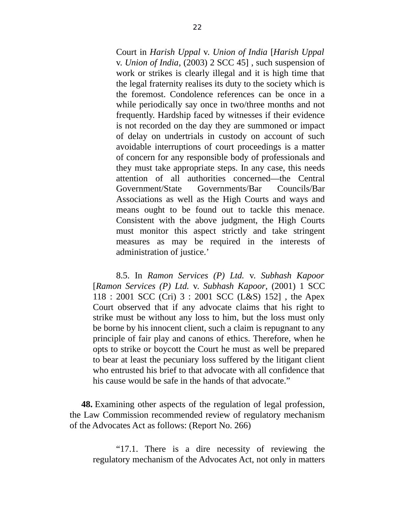Court in *Harish Uppal* v. *Union of India* [*Harish Uppal* v. *Union of India*, (2003) 2 SCC 45] , such suspension of work or strikes is clearly illegal and it is high time that the legal fraternity realises its duty to the society which is the foremost. Condolence references can be once in a while periodically say once in two/three months and not frequently. Hardship faced by witnesses if their evidence is not recorded on the day they are summoned or impact of delay on undertrials in custody on account of such avoidable interruptions of court proceedings is a matter of concern for any responsible body of professionals and they must take appropriate steps. In any case, this needs attention of all authorities concerned—the Central Government/State Governments/Bar Councils/Bar Associations as well as the High Courts and ways and means ought to be found out to tackle this menace. Consistent with the above judgment, the High Courts must monitor this aspect strictly and take stringent measures as may be required in the interests of administration of justice.'

8.5. In *Ramon Services (P) Ltd.* v. *Subhash Kapoor* [*Ramon Services (P) Ltd.* v. *Subhash Kapoor*, (2001) 1 SCC 118 : 2001 SCC (Cri) 3 : 2001 SCC (L&S) 152] , the Apex Court observed that if any advocate claims that his right to strike must be without any loss to him, but the loss must only be borne by his innocent client, such a claim is repugnant to any principle of fair play and canons of ethics. Therefore, when he opts to strike or boycott the Court he must as well be prepared to bear at least the pecuniary loss suffered by the litigant client who entrusted his brief to that advocate with all confidence that his cause would be safe in the hands of that advocate."

**48.** Examining other aspects of the regulation of legal profession, the Law Commission recommended review of regulatory mechanism of the Advocates Act as follows: (Report No. 266)

"17.1. There is a dire necessity of reviewing the regulatory mechanism of the Advocates Act, not only in matters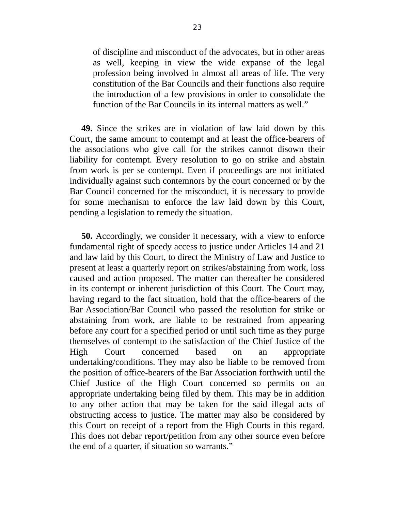of discipline and misconduct of the advocates, but in other areas as well, keeping in view the wide expanse of the legal profession being involved in almost all areas of life. The very constitution of the Bar Councils and their functions also require the introduction of a few provisions in order to consolidate the function of the Bar Councils in its internal matters as well."

**49.** Since the strikes are in violation of law laid down by this Court, the same amount to contempt and at least the office-bearers of the associations who give call for the strikes cannot disown their liability for contempt. Every resolution to go on strike and abstain from work is per se contempt. Even if proceedings are not initiated individually against such contemnors by the court concerned or by the Bar Council concerned for the misconduct, it is necessary to provide for some mechanism to enforce the law laid down by this Court, pending a legislation to remedy the situation.

**50.** Accordingly, we consider it necessary, with a view to enforce fundamental right of speedy access to justice under Articles 14 and 21 and law laid by this Court, to direct the Ministry of Law and Justice to present at least a quarterly report on strikes/abstaining from work, loss caused and action proposed. The matter can thereafter be considered in its contempt or inherent jurisdiction of this Court. The Court may, having regard to the fact situation, hold that the office-bearers of the Bar Association/Bar Council who passed the resolution for strike or abstaining from work, are liable to be restrained from appearing before any court for a specified period or until such time as they purge themselves of contempt to the satisfaction of the Chief Justice of the High Court concerned based on an appropriate undertaking/conditions. They may also be liable to be removed from the position of office-bearers of the Bar Association forthwith until the Chief Justice of the High Court concerned so permits on an appropriate undertaking being filed by them. This may be in addition to any other action that may be taken for the said illegal acts of obstructing access to justice. The matter may also be considered by this Court on receipt of a report from the High Courts in this regard. This does not debar report/petition from any other source even before the end of a quarter, if situation so warrants."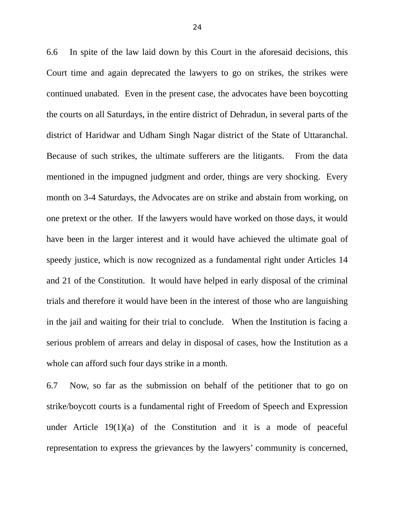6.6 In spite of the law laid down by this Court in the aforesaid decisions, this Court time and again deprecated the lawyers to go on strikes, the strikes were continued unabated. Even in the present case, the advocates have been boycotting the courts on all Saturdays, in the entire district of Dehradun, in several parts of the district of Haridwar and Udham Singh Nagar district of the State of Uttaranchal. Because of such strikes, the ultimate sufferers are the litigants. From the data mentioned in the impugned judgment and order, things are very shocking. Every month on 3-4 Saturdays, the Advocates are on strike and abstain from working, on one pretext or the other. If the lawyers would have worked on those days, it would have been in the larger interest and it would have achieved the ultimate goal of speedy justice, which is now recognized as a fundamental right under Articles 14 and 21 of the Constitution. It would have helped in early disposal of the criminal trials and therefore it would have been in the interest of those who are languishing in the jail and waiting for their trial to conclude. When the Institution is facing a serious problem of arrears and delay in disposal of cases, how the Institution as a whole can afford such four days strike in a month.

6.7 Now, so far as the submission on behalf of the petitioner that to go on strike/boycott courts is a fundamental right of Freedom of Speech and Expression under Article 19(1)(a) of the Constitution and it is a mode of peaceful representation to express the grievances by the lawyers' community is concerned,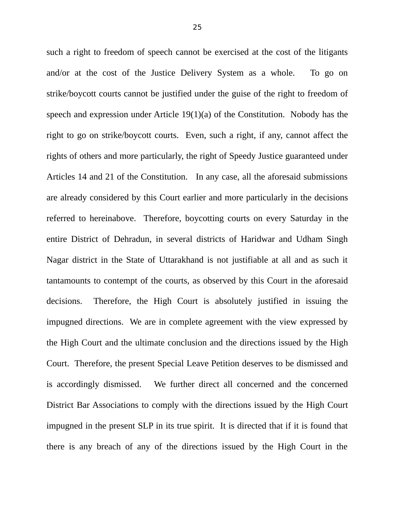such a right to freedom of speech cannot be exercised at the cost of the litigants and/or at the cost of the Justice Delivery System as a whole. To go on strike/boycott courts cannot be justified under the guise of the right to freedom of speech and expression under Article 19(1)(a) of the Constitution. Nobody has the right to go on strike/boycott courts. Even, such a right, if any, cannot affect the rights of others and more particularly, the right of Speedy Justice guaranteed under Articles 14 and 21 of the Constitution. In any case, all the aforesaid submissions are already considered by this Court earlier and more particularly in the decisions referred to hereinabove. Therefore, boycotting courts on every Saturday in the entire District of Dehradun, in several districts of Haridwar and Udham Singh Nagar district in the State of Uttarakhand is not justifiable at all and as such it tantamounts to contempt of the courts, as observed by this Court in the aforesaid decisions. Therefore, the High Court is absolutely justified in issuing the impugned directions. We are in complete agreement with the view expressed by the High Court and the ultimate conclusion and the directions issued by the High Court. Therefore, the present Special Leave Petition deserves to be dismissed and is accordingly dismissed. We further direct all concerned and the concerned District Bar Associations to comply with the directions issued by the High Court impugned in the present SLP in its true spirit. It is directed that if it is found that there is any breach of any of the directions issued by the High Court in the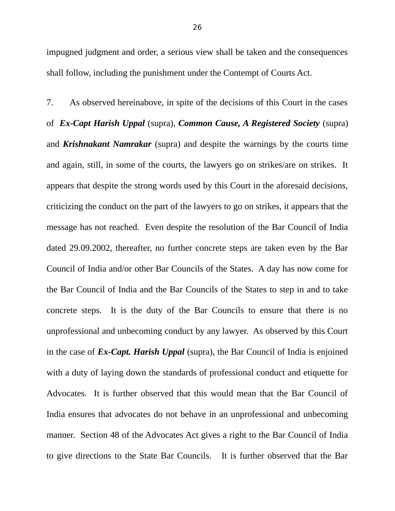impugned judgment and order, a serious view shall be taken and the consequences shall follow, including the punishment under the Contempt of Courts Act.

7. As observed hereinabove, in spite of the decisions of this Court in the cases of *Ex-Capt Harish Uppal* (supra), *Common Cause, A Registered Society* (supra) and *Krishnakant Namrakar* (supra) and despite the warnings by the courts time and again, still, in some of the courts, the lawyers go on strikes/are on strikes. It appears that despite the strong words used by this Court in the aforesaid decisions, criticizing the conduct on the part of the lawyers to go on strikes, it appears that the message has not reached. Even despite the resolution of the Bar Council of India dated 29.09.2002, thereafter, no further concrete steps are taken even by the Bar Council of India and/or other Bar Councils of the States. A day has now come for the Bar Council of India and the Bar Councils of the States to step in and to take concrete steps. It is the duty of the Bar Councils to ensure that there is no unprofessional and unbecoming conduct by any lawyer. As observed by this Court in the case of *Ex-Capt. Harish Uppal* (supra), the Bar Council of India is enjoined with a duty of laying down the standards of professional conduct and etiquette for Advocates. It is further observed that this would mean that the Bar Council of India ensures that advocates do not behave in an unprofessional and unbecoming manner. Section 48 of the Advocates Act gives a right to the Bar Council of India to give directions to the State Bar Councils. It is further observed that the Bar